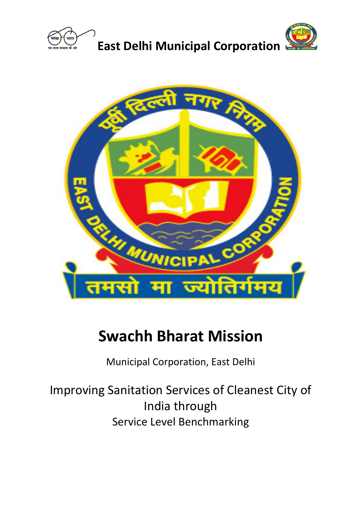



# **Swachh Bharat Mission**

Municipal Corporation, East Delhi

Improving Sanitation Services of Cleanest City of India through Service Level Benchmarking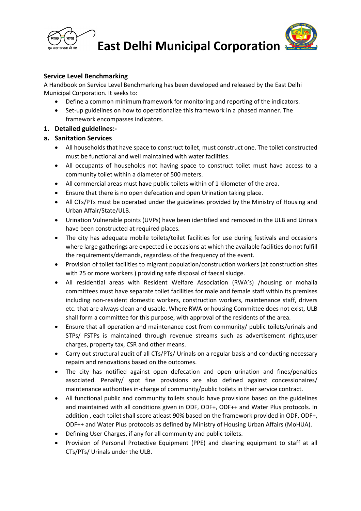



**East Delhi Municipal Corporation**

## **Service Level Benchmarking**

A Handbook on Service Level Benchmarking has been developed and released by the East Delhi Municipal Corporation. It seeks to:

- Define a common minimum framework for monitoring and reporting of the indicators.
- Set-up guidelines on how to operationalize this framework in a phased manner. The framework encompasses indicators.

## **1. Detailed guidelines:-**

## **a. Sanitation Services**

- All households that have space to construct toilet, must construct one. The toilet constructed must be functional and well maintained with water facilities.
- All occupants of households not having space to construct toilet must have access to a community toilet within a diameter of 500 meters.
- All commercial areas must have public toilets within of 1 kilometer of the area.
- Ensure that there is no open defecation and open Urination taking place.
- All CTs/PTs must be operated under the guidelines provided by the Ministry of Housing and Urban Affair/State/ULB.
- Urination Vulnerable points (UVPs) have been identified and removed in the ULB and Urinals have been constructed at required places.
- The city has adequate mobile toilets/toilet facilities for use during festivals and occasions where large gatherings are expected i.e occasions at which the available facilities do not fulfill the requirements/demands, regardless of the frequency of the event.
- Provision of toilet facilities to migrant population/construction workers (at construction sites with 25 or more workers ) providing safe disposal of faecal sludge.
- All residential areas with Resident Welfare Association (RWA's) /housing or mohalla committees must have separate toilet facilities for male and female staff within its premises including non-resident domestic workers, construction workers, maintenance staff, drivers etc. that are always clean and usable. Where RWA or housing Committee does not exist, ULB shall form a committee for this purpose, with approval of the residents of the area.
- Ensure that all operation and maintenance cost from community/ public toilets/urinals and STPs/ FSTPs is maintained through revenue streams such as advertisement rights,user charges, property tax, CSR and other means.
- Carry out structural audit of all CTs/PTs/ Urinals on a regular basis and conducting necessary repairs and renovations based on the outcomes.
- The city has notified against open defecation and open urination and fines/penalties associated. Penalty/ spot fine provisions are also defined against concessionaires/ maintenance authorities in-charge of community/public toilets in their service contract.
- All functional public and community toilets should have provisions based on the guidelines and maintained with all conditions given in ODF, ODF+, ODF++ and Water Plus protocols. In addition , each toilet shall score atleast 90% based on the framework provided in ODF, ODF+, ODF++ and Water Plus protocols as defined by Ministry of Housing Urban Affairs (MoHUA).
- Defining User Charges, if any for all community and public toilets.
- Provision of Personal Protective Equipment (PPE) and cleaning equipment to staff at all CTs/PTs/ Urinals under the ULB.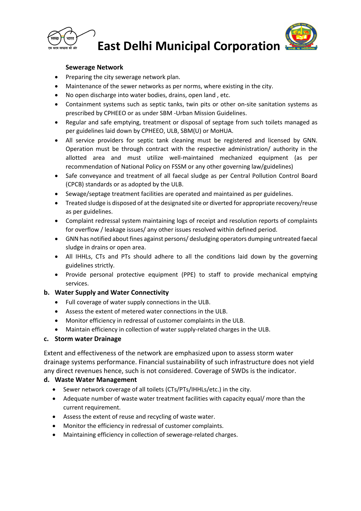

## **East Delhi Municipal Corporation**



- Preparing the city sewerage network plan.
- Maintenance of the sewer networks as per norms, where existing in the city.
- No open discharge into water bodies, drains, open land , etc.
- Containment systems such as septic tanks, twin pits or other on-site sanitation systems as prescribed by CPHEEO or as under SBM -Urban Mission Guidelines.
- Regular and safe emptying, treatment or disposal of septage from such toilets managed as per guidelines laid down by CPHEEO, ULB, SBM(U) or MoHUA.
- All service providers for septic tank cleaning must be registered and licensed by GNN. Operation must be through contract with the respective administration/ authority in the allotted area and must utilize well-maintained mechanized equipment (as per recommendation of National Policy on FSSM or any other governing law/guidelines)
- Safe conveyance and treatment of all faecal sludge as per Central Pollution Control Board (CPCB) standards or as adopted by the ULB.
- Sewage/septage treatment facilities are operated and maintained as per guidelines.
- Treated sludge is disposed of at the designated site or diverted for appropriate recovery/reuse as per guidelines.
- Complaint redressal system maintaining logs of receipt and resolution reports of complaints for overflow / leakage issues/ any other issues resolved within defined period.
- GNN has notified about fines against persons/ desludging operators dumping untreated faecal sludge in drains or open area.
- All IHHLs, CTs and PTs should adhere to all the conditions laid down by the governing guidelines strictly.
- Provide personal protective equipment (PPE) to staff to provide mechanical emptying services.

## **b. Water Supply and Water Connectivity**

- Full coverage of water supply connections in the ULB.
- Assess the extent of metered water connections in the ULB.
- Monitor efficiency in redressal of customer complaints in the ULB.
- Maintain efficiency in collection of water supply-related charges in the ULB.

#### **c. Storm water Drainage**

Extent and effectiveness of the network are emphasized upon to assess storm water drainage systems performance. Financial sustainability of such infrastructure does not yield any direct revenues hence, such is not considered. Coverage of SWDs is the indicator.

## **d. Waste Water Management**

- Sewer network coverage of all toilets (CTs/PTs/IHHLs/etc.) in the city.
- Adequate number of waste water treatment facilities with capacity equal/ more than the current requirement.
- Assess the extent of reuse and recycling of waste water.
- Monitor the efficiency in redressal of customer complaints.
- Maintaining efficiency in collection of sewerage-related charges.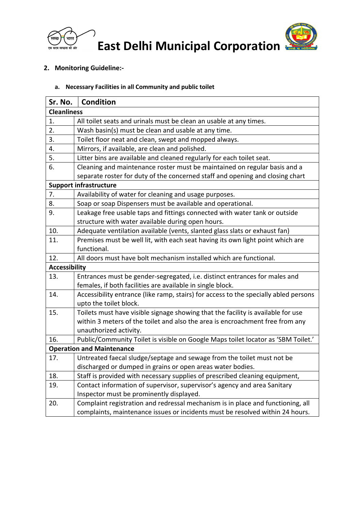

**East Delhi Municipal Corporation**



## **2. Monitoring Guideline:-**

## **a. Necessary Facilities in all Community and public toilet**

| Sr. No.                          | <b>Condition</b>                                                                     |  |
|----------------------------------|--------------------------------------------------------------------------------------|--|
| <b>Cleanliness</b>               |                                                                                      |  |
| 1.                               | All toilet seats and urinals must be clean an usable at any times.                   |  |
| 2.                               | Wash basin(s) must be clean and usable at any time.                                  |  |
| 3.                               | Toilet floor neat and clean, swept and mopped always.                                |  |
| 4.                               | Mirrors, if available, are clean and polished.                                       |  |
| 5.                               | Litter bins are available and cleaned regularly for each toilet seat.                |  |
| 6.                               | Cleaning and maintenance roster must be maintained on regular basis and a            |  |
|                                  | separate roster for duty of the concerned staff and opening and closing chart        |  |
| <b>Support infrastructure</b>    |                                                                                      |  |
| 7.                               | Availability of water for cleaning and usage purposes.                               |  |
| 8.                               | Soap or soap Dispensers must be available and operational.                           |  |
| 9.                               | Leakage free usable taps and fittings connected with water tank or outside           |  |
|                                  | structure with water available during open hours.                                    |  |
| 10.                              | Adequate ventilation available (vents, slanted glass slats or exhaust fan)           |  |
| 11.                              | Premises must be well lit, with each seat having its own light point which are       |  |
|                                  | functional.                                                                          |  |
| 12.                              | All doors must have bolt mechanism installed which are functional.                   |  |
| <b>Accessibility</b>             |                                                                                      |  |
| 13.                              | Entrances must be gender-segregated, i.e. distinct entrances for males and           |  |
|                                  | females, if both facilities are available in single block.                           |  |
| 14.                              | Accessibility entrance (like ramp, stairs) for access to the specially abled persons |  |
|                                  | upto the toilet block.                                                               |  |
| 15.                              | Toilets must have visible signage showing that the facility is available for use     |  |
|                                  | within 3 meters of the toilet and also the area is encroachment free from any        |  |
|                                  | unauthorized activity.                                                               |  |
| 16.                              | Public/Community Toilet is visible on Google Maps toilet locator as 'SBM Toilet.'    |  |
| <b>Operation and Maintenance</b> |                                                                                      |  |
| 17.                              | Untreated faecal sludge/septage and sewage from the toilet must not be               |  |
|                                  | discharged or dumped in grains or open areas water bodies.                           |  |
| 18.                              | Staff is provided with necessary supplies of prescribed cleaning equipment,          |  |
| 19.                              | Contact information of supervisor, supervisor's agency and area Sanitary             |  |
|                                  | Inspector must be prominently displayed.                                             |  |
| 20.                              | Complaint registration and redressal mechanism is in place and functioning, all      |  |
|                                  | complaints, maintenance issues or incidents must be resolved within 24 hours.        |  |